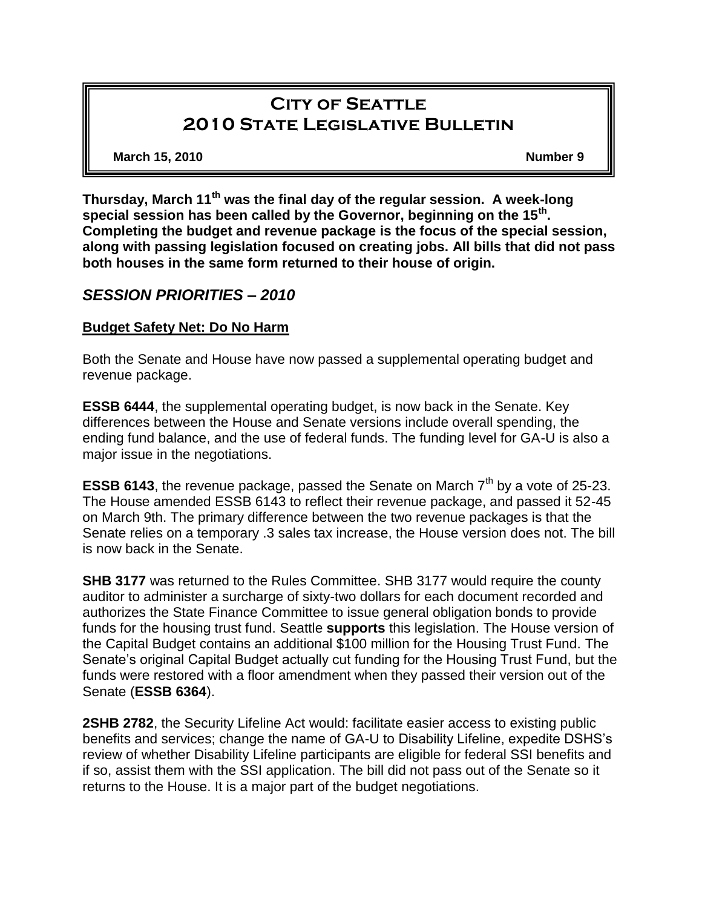# **City of Seattle 2010 State Legislative Bulletin**

**March 15, 2010 Number 9**

**Thursday, March 11th was the final day of the regular session. A week-long special session has been called by the Governor, beginning on the 15th . Completing the budget and revenue package is the focus of the special session, along with passing legislation focused on creating jobs. All bills that did not pass both houses in the same form returned to their house of origin.**

# *SESSION PRIORITIES – 2010*

### **Budget Safety Net: Do No Harm**

Both the Senate and House have now passed a supplemental operating budget and revenue package.

**ESSB 6444**, the supplemental operating budget, is now back in the Senate. Key differences between the House and Senate versions include overall spending, the ending fund balance, and the use of federal funds. The funding level for GA-U is also a major issue in the negotiations.

**ESSB 6143**, the revenue package, passed the Senate on March 7<sup>th</sup> by a vote of 25-23. The House amended ESSB 6143 to reflect their revenue package, and passed it 52-45 on March 9th. The primary difference between the two revenue packages is that the Senate relies on a temporary .3 sales tax increase, the House version does not. The bill is now back in the Senate.

**SHB 3177** was returned to the Rules Committee. SHB 3177 would require the county auditor to administer a surcharge of sixty-two dollars for each document recorded and authorizes the State Finance Committee to issue general obligation bonds to provide funds for the housing trust fund. Seattle **supports** this legislation. The House version of the Capital Budget contains an additional \$100 million for the Housing Trust Fund. The Senate's original Capital Budget actually cut funding for the Housing Trust Fund, but the funds were restored with a floor amendment when they passed their version out of the Senate (**ESSB 6364**).

**2SHB 2782**, the Security Lifeline Act would: facilitate easier access to existing public benefits and services; change the name of GA-U to Disability Lifeline, expedite DSHS's review of whether Disability Lifeline participants are eligible for federal SSI benefits and if so, assist them with the SSI application. The bill did not pass out of the Senate so it returns to the House. It is a major part of the budget negotiations.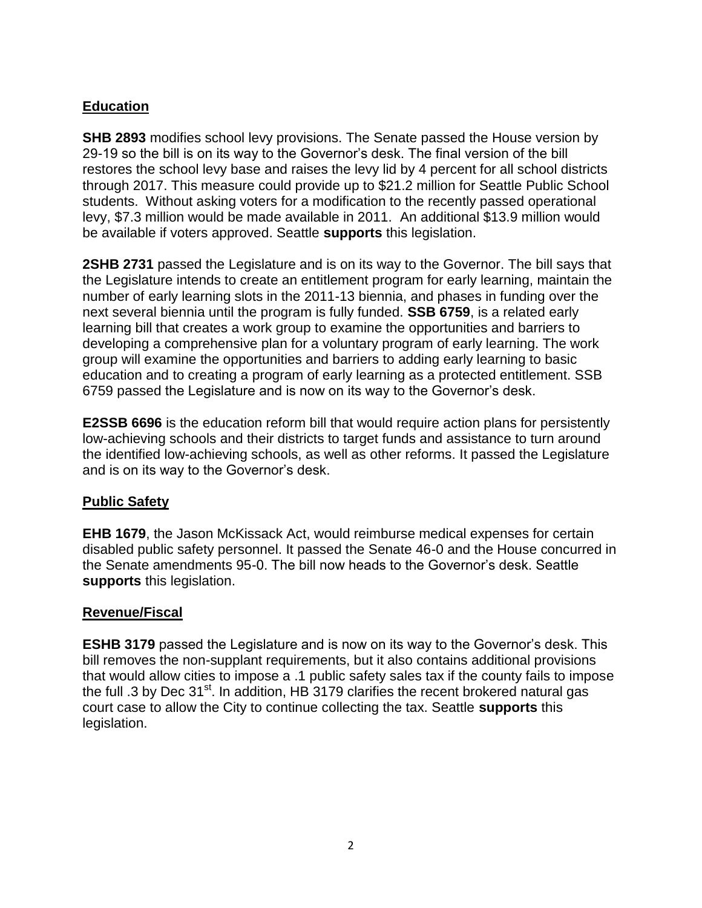# **Education**

**SHB 2893** modifies school levy provisions. The Senate passed the House version by 29-19 so the bill is on its way to the Governor's desk. The final version of the bill restores the school levy base and raises the levy lid by 4 percent for all school districts through 2017. This measure could provide up to \$21.2 million for Seattle Public School students. Without asking voters for a modification to the recently passed operational levy, \$7.3 million would be made available in 2011. An additional \$13.9 million would be available if voters approved. Seattle **supports** this legislation.

**2SHB 2731** passed the Legislature and is on its way to the Governor. The bill says that the Legislature intends to create an entitlement program for early learning, maintain the number of early learning slots in the 2011-13 biennia, and phases in funding over the next several biennia until the program is fully funded. **SSB 6759**, is a related early learning bill that creates a work group to examine the opportunities and barriers to developing a comprehensive plan for a voluntary program of early learning. The work group will examine the opportunities and barriers to adding early learning to basic education and to creating a program of early learning as a protected entitlement. SSB 6759 passed the Legislature and is now on its way to the Governor's desk.

**E2SSB 6696** is the education reform bill that would require action plans for persistently low-achieving schools and their districts to target funds and assistance to turn around the identified low-achieving schools, as well as other reforms. It passed the Legislature and is on its way to the Governor's desk.

# **Public Safety**

**EHB 1679**, the Jason McKissack Act, would reimburse medical expenses for certain disabled public safety personnel. It passed the Senate 46-0 and the House concurred in the Senate amendments 95-0. The bill now heads to the Governor's desk. Seattle **supports** this legislation.

#### **Revenue/Fiscal**

**ESHB 3179** passed the Legislature and is now on its way to the Governor's desk. This bill removes the non-supplant requirements, but it also contains additional provisions that would allow cities to impose a .1 public safety sales tax if the county fails to impose the full .3 by Dec  $31<sup>st</sup>$ . In addition, HB 3179 clarifies the recent brokered natural gas court case to allow the City to continue collecting the tax. Seattle **supports** this legislation.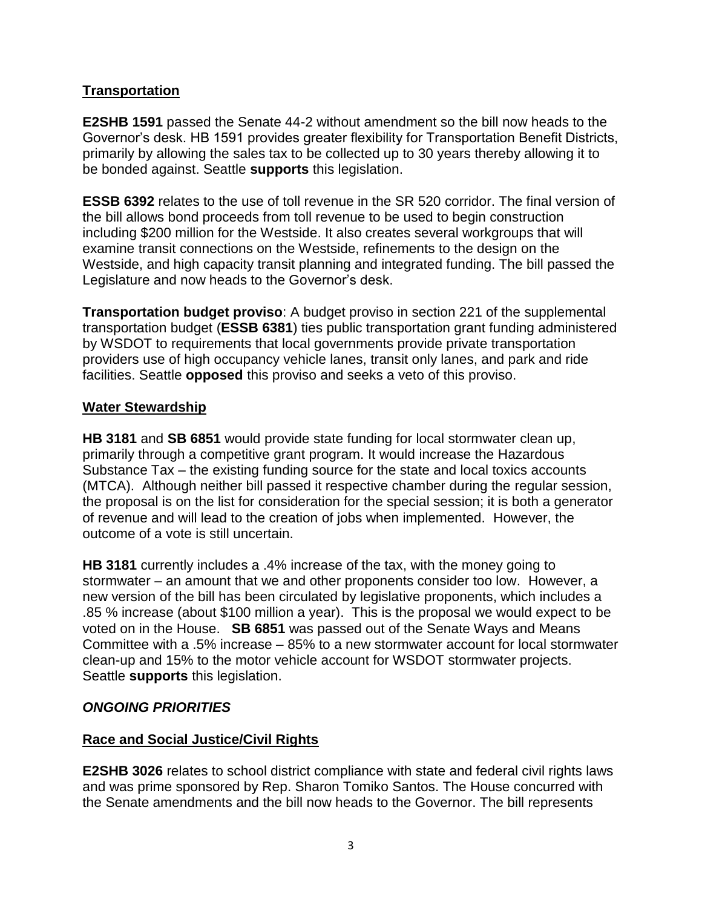# **Transportation**

**E2SHB 1591** passed the Senate 44-2 without amendment so the bill now heads to the Governor's desk. HB 1591 provides greater flexibility for Transportation Benefit Districts, primarily by allowing the sales tax to be collected up to 30 years thereby allowing it to be bonded against. Seattle **supports** this legislation.

**ESSB 6392** relates to the use of toll revenue in the SR 520 corridor. The final version of the bill allows bond proceeds from toll revenue to be used to begin construction including \$200 million for the Westside. It also creates several workgroups that will examine transit connections on the Westside, refinements to the design on the Westside, and high capacity transit planning and integrated funding. The bill passed the Legislature and now heads to the Governor's desk.

**Transportation budget proviso**: A budget proviso in section 221 of the supplemental transportation budget (**ESSB 6381**) ties public transportation grant funding administered by WSDOT to requirements that local governments provide private transportation providers use of high occupancy vehicle lanes, transit only lanes, and park and ride facilities. Seattle **opposed** this proviso and seeks a veto of this proviso.

#### **Water Stewardship**

**HB 3181** and **SB 6851** would provide state funding for local stormwater clean up, primarily through a competitive grant program. It would increase the Hazardous Substance Tax – the existing funding source for the state and local toxics accounts (MTCA). Although neither bill passed it respective chamber during the regular session, the proposal is on the list for consideration for the special session; it is both a generator of revenue and will lead to the creation of jobs when implemented. However, the outcome of a vote is still uncertain.

**HB 3181** currently includes a .4% increase of the tax, with the money going to stormwater – an amount that we and other proponents consider too low. However, a new version of the bill has been circulated by legislative proponents, which includes a .85 % increase (about \$100 million a year). This is the proposal we would expect to be voted on in the House. **SB 6851** was passed out of the Senate Ways and Means Committee with a .5% increase – 85% to a new stormwater account for local stormwater clean-up and 15% to the motor vehicle account for WSDOT stormwater projects. Seattle **supports** this legislation.

#### *ONGOING PRIORITIES*

#### **Race and Social Justice/Civil Rights**

**E2SHB 3026** relates to school district compliance with state and federal civil rights laws and was prime sponsored by Rep. Sharon Tomiko Santos. The House concurred with the Senate amendments and the bill now heads to the Governor. The bill represents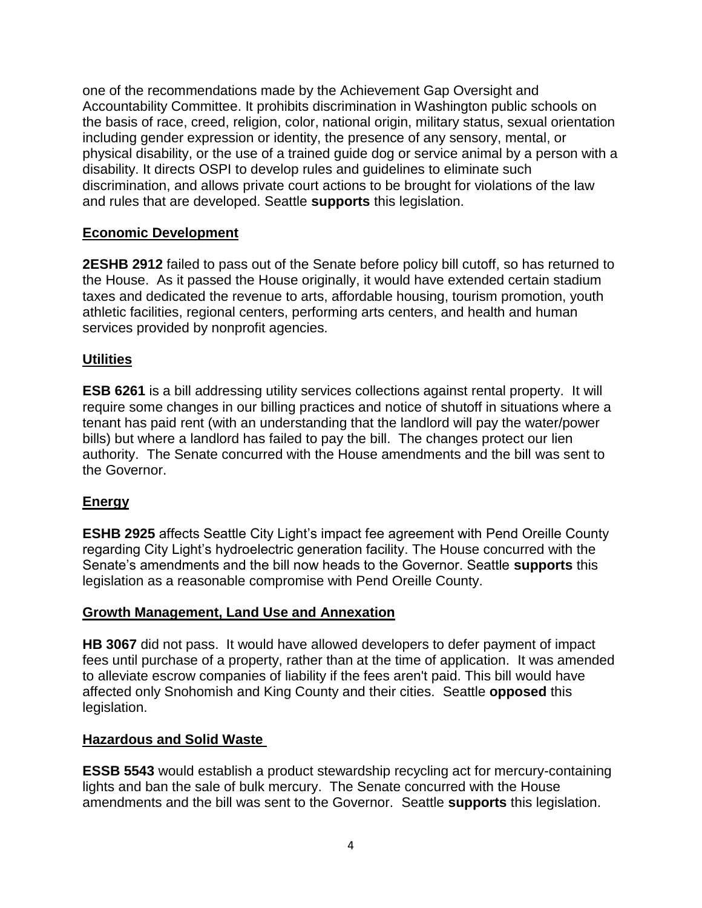one of the recommendations made by the Achievement Gap Oversight and Accountability Committee. It prohibits discrimination in Washington public schools on the basis of race, creed, religion, color, national origin, military status, sexual orientation including gender expression or identity, the presence of any sensory, mental, or physical disability, or the use of a trained guide dog or service animal by a person with a disability. It directs OSPI to develop rules and guidelines to eliminate such discrimination, and allows private court actions to be brought for violations of the law and rules that are developed. Seattle **supports** this legislation.

## **Economic Development**

**2ESHB 2912** failed to pass out of the Senate before policy bill cutoff, so has returned to the House. As it passed the House originally, it would have extended certain stadium taxes and dedicated the revenue to arts, affordable housing, tourism promotion, youth athletic facilities, regional centers, performing arts centers, and health and human services provided by nonprofit agencies.

#### **Utilities**

**ESB 6261** is a bill addressing utility services collections against rental property. It will require some changes in our billing practices and notice of shutoff in situations where a tenant has paid rent (with an understanding that the landlord will pay the water/power bills) but where a landlord has failed to pay the bill. The changes protect our lien authority. The Senate concurred with the House amendments and the bill was sent to the Governor.

# **Energy**

**ESHB 2925** affects Seattle City Light's impact fee agreement with Pend Oreille County regarding City Light's hydroelectric generation facility. The House concurred with the Senate's amendments and the bill now heads to the Governor. Seattle **supports** this legislation as a reasonable compromise with Pend Oreille County.

#### **Growth Management, Land Use and Annexation**

**HB 3067** did not pass. It would have allowed developers to defer payment of impact fees until purchase of a property, rather than at the time of application. It was amended to alleviate escrow companies of liability if the fees aren't paid. This bill would have affected only Snohomish and King County and their cities. Seattle **opposed** this legislation.

#### **Hazardous and Solid Waste**

**ESSB 5543** would establish a product stewardship recycling act for mercury-containing lights and ban the sale of bulk mercury. The Senate concurred with the House amendments and the bill was sent to the Governor. Seattle **supports** this legislation.